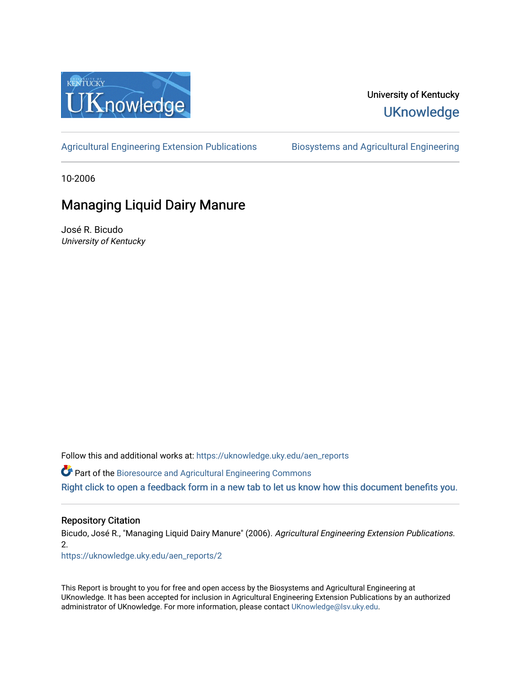

#### University of Kentucky **UKnowledge**

[Agricultural Engineering Extension Publications](https://uknowledge.uky.edu/aen_reports) Biosystems and Agricultural Engineering

10-2006

### Managing Liquid Dairy Manure

José R. Bicudo University of Kentucky

Follow this and additional works at: [https://uknowledge.uky.edu/aen\\_reports](https://uknowledge.uky.edu/aen_reports?utm_source=uknowledge.uky.edu%2Faen_reports%2F2&utm_medium=PDF&utm_campaign=PDFCoverPages)

Part of the [Bioresource and Agricultural Engineering Commons](http://network.bepress.com/hgg/discipline/1056?utm_source=uknowledge.uky.edu%2Faen_reports%2F2&utm_medium=PDF&utm_campaign=PDFCoverPages)

[Right click to open a feedback form in a new tab to let us know how this document benefits you.](https://uky.az1.qualtrics.com/jfe/form/SV_9mq8fx2GnONRfz7)

#### Repository Citation

Bicudo, José R., "Managing Liquid Dairy Manure" (2006). Agricultural Engineering Extension Publications. 2.

[https://uknowledge.uky.edu/aen\\_reports/2](https://uknowledge.uky.edu/aen_reports/2?utm_source=uknowledge.uky.edu%2Faen_reports%2F2&utm_medium=PDF&utm_campaign=PDFCoverPages)

This Report is brought to you for free and open access by the Biosystems and Agricultural Engineering at UKnowledge. It has been accepted for inclusion in Agricultural Engineering Extension Publications by an authorized administrator of UKnowledge. For more information, please contact [UKnowledge@lsv.uky.edu](mailto:UKnowledge@lsv.uky.edu).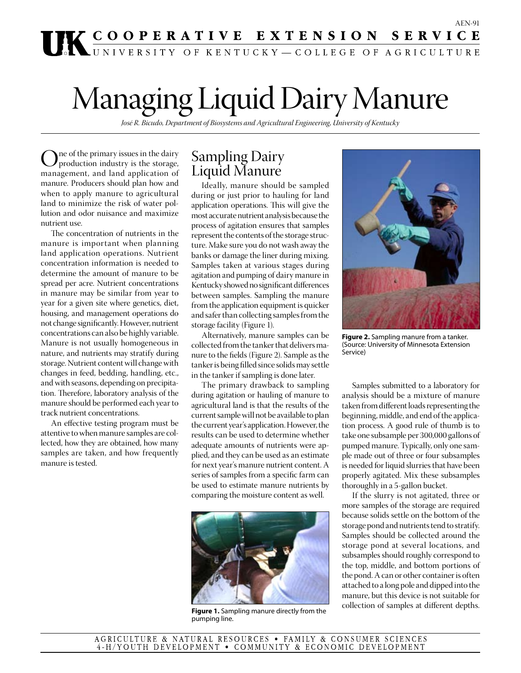# **THE COOPERATIVE EXTENSION SERVICE**

# Managing Liquid Dairy Manure

*José R. Bicudo, Department of Biosystems and Agricultural Engineering, University of Kentucky* 

One of the primary issues in the dairy<br>production industry is the storage,<br>management, and land application of management, and land application of manure. Producers should plan how and when to apply manure to agricultural land to minimize the risk of water pollution and odor nuisance and maximize nutrient use.

The concentration of nutrients in the manure is important when planning land application operations. Nutrient concentration information is needed to determine the amount of manure to be spread per acre. Nutrient concentrations in manure may be similar from year to year for a given site where genetics, diet, housing, and management operations do not change significantly. However, nutrient concentrations can also be highly variable. Manure is not usually homogeneous in nature, and nutrients may stratify during storage. Nutrient content will change with changes in feed, bedding, handling, etc., and with seasons, depending on precipitation. Therefore, laboratory analysis of the manure should be performed each year to track nutrient concentrations.

An effective testing program must be attentive to when manure samples are collected, how they are obtained, how many samples are taken, and how frequently manure is tested.

#### Sampling Dairy Liquid Manure

Ideally, manure should be sampled during or just prior to hauling for land application operations. This will give the most accurate nutrient analysis because the process of agitation ensures that samples represent the contents of the storage structure. Make sure you do not wash away the banks or damage the liner during mixing. Samples taken at various stages during agitation and pumping of dairy manure in Kentucky showed no significant differences between samples. Sampling the manure from the application equipment is quicker and safer than collecting samples from the storage facility (Figure 1).

Alternatively, manure samples can be collected from the tanker that delivers manure to the fields (Figure 2). Sample as the tanker is being filled since solids may settle in the tanker if sampling is done later.

The primary drawback to sampling during agitation or hauling of manure to agricultural land is that the results of the current sample will not be available to plan the current year's application. However, the results can be used to determine whether adequate amounts of nutrients were applied, and they can be used as an estimate for next year's manure nutrient content. A series of samples from a specific farm can be used to estimate manure nutrients by comparing the moisture content as well.



Figure 1. Sampling manure directly from the pumping line.



**Figure 2.** Sampling manure from a tanker. (Source: University of Minnesota Extension Service)

Samples submitted to a laboratory for analysis should be a mixture of manure taken from different loads representing the beginning, middle, and end of the application process. A good rule of thumb is to take one subsample per 300,000 gallons of pumped manure. Typically, only one sample made out of three or four subsamples is needed for liquid slurries that have been properly agitated. Mix these subsamples thoroughly in a 5-gallon bucket.

If the slurry is not agitated, three or more samples of the storage are required because solids settle on the bottom of the storage pond and nutrients tend to stratify. Samples should be collected around the storage pond at several locations, and subsamples should roughly correspond to the top, middle, and bottom portions of the pond. A can or other container is often attached to a long pole and dipped into the manure, but this device is not suitable for<br>collection of samples at different depths.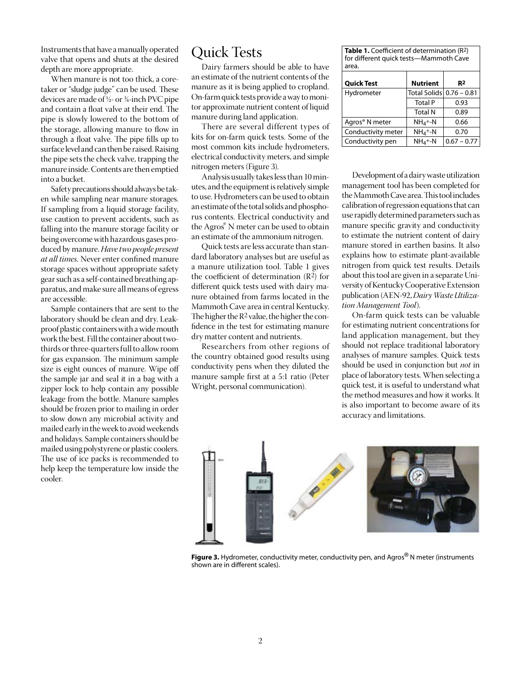Instruments that have a manually operated valve that opens and shuts at the desired depth are more appropriate.

When manure is not too thick, a coretaker or "sludge judge" can be used. These devices are made of ½- or ¾-inch PVC pipe and contain a float valve at their end. The pipe is slowly lowered to the bottom of the storage, allowing manure to flow in through a float valve. The pipe fills up to surface level and can then be raised. Raising the pipe sets the check valve, trapping the manure inside. Contents are then emptied into a bucket.

Safety precautions should always be taken while sampling near manure storages. If sampling from a liquid storage facility, use caution to prevent accidents, such as falling into the manure storage facility or being overcome with hazardous gases produced by manure. *Have two people present at all times.* Never enter confined manure storage spaces without appropriate safety gear such as a self-contained breathing apparatus, and make sure all means of egress are accessible.

Sample containers that are sent to the laboratory should be clean and dry. Leakproof plastic containers with a wide mouth work the best. Fill the container about twothirds or three-quarters full to allow room for gas expansion. The minimum sample size is eight ounces of manure. Wipe off the sample jar and seal it in a bag with a zipper lock to help contain any possible leakage from the bottle. Manure samples should be frozen prior to mailing in order to slow down any microbial activity and mailed early in the week to avoid weekends and holidays. Sample containers should be mailed using polystyrene or plastic coolers. The use of ice packs is recommended to help keep the temperature low inside the cooler.

#### Quick Tests

Dairy farmers should be able to have an estimate of the nutrient contents of the manure as it is being applied to cropland. On-farm quick tests provide a way to monitor approximate nutrient content of liquid manure during land application.

There are several different types of kits for on-farm quick tests. Some of the most common kits include hydrometers, electrical conductivity meters, and simple nitrogen meters (Figure 3).

Analysis usually takes less than 10 minutes, and the equipment is relatively simple to use. Hydrometers can be used to obtain an estimate of the total solids and phosphorus contents. Electrical conductivity and the Agros® N meter can be used to obtain an estimate of the ammonium nitrogen.

Quick tests are less accurate than standard laboratory analyses but are useful as a manure utilization tool. Table 1 gives the coefficient of determination  $(R<sup>2</sup>)$  for different quick tests used with dairy manure obtained from farms located in the Mammoth Cave area in central Kentucky. The higher the R2 value, the higher the confidence in the test for estimating manure dry matter content and nutrients.

Researchers from other regions of the country obtained good results using conductivity pens when they diluted the manure sample first at a 5:1 ratio (Peter Wright, personal communication).

| <b>Table 1.</b> Coefficient of determination $(R^2)$<br>for different quick tests-Mammoth Cave<br>area. |                          |                |
|---------------------------------------------------------------------------------------------------------|--------------------------|----------------|
| <b>Quick Test</b>                                                                                       | <b>Nutrient</b>          | R <sup>2</sup> |
| Hydrometer                                                                                              | Total Solids 0.76 - 0.81 |                |
|                                                                                                         | <b>Total P</b>           | 0.93           |
|                                                                                                         | <b>Total N</b>           | 0.89           |
| Agros <sup>®</sup> N meter                                                                              | $NH_4 + -N$              | 0.66           |
| Conductivity meter                                                                                      | $NH_4 + -N$              | 0.70           |
| Conductivity pen                                                                                        | $NH_4 + -N$              | $0.67 - 0.77$  |

Development of a dairy waste utilization management tool has been completed for the Mammoth Cave area. This tool includes calibration of regression equations that can use rapidly determined parameters such as manure specific gravity and conductivity to estimate the nutrient content of dairy manure stored in earthen basins. It also explains how to estimate plant-available nitrogen from quick test results. Details about this tool are given in a separate University of Kentucky Cooperative Extension publication (AEN-92, *Dairy Waste Utilization Management Tool*).

On-farm quick tests can be valuable for estimating nutrient concentrations for land application management, but they should not replace traditional laboratory analyses of manure samples. Quick tests should be used in conjunction but *not* in place of laboratory tests. When selecting a quick test, it is useful to understand what the method measures and how it works. It is also important to become aware of its accuracy and limitations.



Figure 3. Hydrometer, conductivity meter, conductivity pen, and Agros® N meter (instruments shown are in different scales).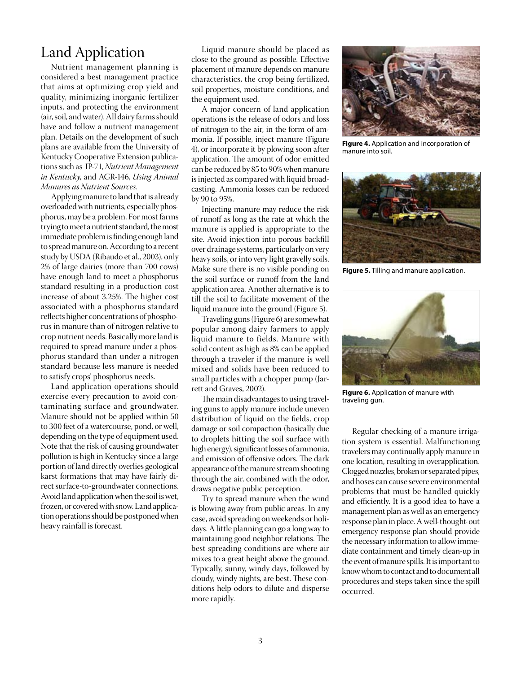#### Land Application

Nutrient management planning is considered a best management practice that aims at optimizing crop yield and quality, minimizing inorganic fertilizer inputs, and protecting the environment (air, soil, and water). All dairy farms should have and follow a nutrient management plan. Details on the development of such plans are available from the University of Kentucky Cooperative Extension publications such as IP-71, *Nutrient Management in Kentucky*, and AGR-146, *Using Animal Manures as Nutrient Sources*.

Applying manure to land that is already overloaded with nutrients, especially phosphorus, may be a problem. For most farms trying to meet a nutrient standard, the most immediate problem is finding enough land to spread manure on. According to a recent study by USDA (Ribaudo et al., 2003), only 2% of large dairies (more than 700 cows) have enough land to meet a phosphorus standard resulting in a production cost increase of about 3.25%. The higher cost associated with a phosphorus standard reflects higher concentrations of phosphorus in manure than of nitrogen relative to crop nutrient needs. Basically more land is required to spread manure under a phosphorus standard than under a nitrogen standard because less manure is needed to satisfy crops' phosphorus needs.

Land application operations should exercise every precaution to avoid contaminating surface and groundwater. Manure should not be applied within 50 to 300 feet of a watercourse, pond, or well, depending on the type of equipment used. Note that the risk of causing groundwater pollution is high in Kentucky since a large portion of land directly overlies geological karst formations that may have fairly direct surface-to-groundwater connections. Avoid land application when the soil is wet, frozen, or covered with snow. Land application operations should be postponed when heavy rainfall is forecast.

Liquid manure should be placed as close to the ground as possible. Effective placement of manure depends on manure characteristics, the crop being fertilized, soil properties, moisture conditions, and the equipment used.

A major concern of land application operations is the release of odors and loss of nitrogen to the air, in the form of ammonia. If possible, inject manure (Figure 4), or incorporate it by plowing soon after application. The amount of odor emitted can be reduced by 85 to 90% when manure is injected as compared with liquid broadcasting. Ammonia losses can be reduced by 90 to 95%.

Injecting manure may reduce the risk of runoff as long as the rate at which the manure is applied is appropriate to the site. Avoid injection into porous backfill over drainage systems, particularly on very heavy soils, or into very light gravelly soils. Make sure there is no visible ponding on the soil surface or runoff from the land application area. Another alternative is to till the soil to facilitate movement of the liquid manure into the ground (Figure 5).

Traveling guns (Figure 6) are somewhat popular among dairy farmers to apply liquid manure to fields. Manure with solid content as high as 8% can be applied through a traveler if the manure is well mixed and solids have been reduced to small particles with a chopper pump (Jarrett and Graves, 2002).

The main disadvantages to using traveling guns to apply manure include uneven distribution of liquid on the fields, crop damage or soil compaction (basically due to droplets hitting the soil surface with high energy), significant losses of ammonia, and emission of offensive odors. The dark appearance of the manure stream shooting through the air, combined with the odor, draws negative public perception.

Try to spread manure when the wind is blowing away from public areas. In any case, avoid spreading on weekends or holidays. A little planning can go a long way to maintaining good neighbor relations. The best spreading conditions are where air mixes to a great height above the ground. Typically, sunny, windy days, followed by cloudy, windy nights, are best. These conditions help odors to dilute and disperse more rapidly.



**Figure 4.** Application and incorporation of manure into soil.



**Figure 5.** Tilling and manure application.



**Figure 6.** Application of manure with traveling gun.

Regular checking of a manure irrigation system is essential. Malfunctioning travelers may continually apply manure in one location, resulting in overapplication. Clogged nozzles, broken or separated pipes, and hoses can cause severe environmental problems that must be handled quickly and efficiently. It is a good idea to have a management plan as well as an emergency response plan in place. A well-thought-out emergency response plan should provide the necessary information to allow immediate containment and timely clean-up in the event of manure spills. It is important to know whom to contact and to document all procedures and steps taken since the spill occurred.